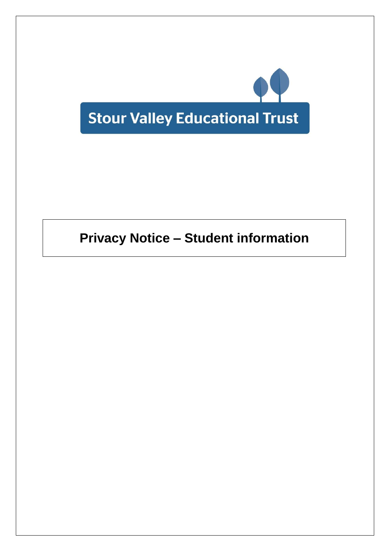

# **Privacy Notice – Student information**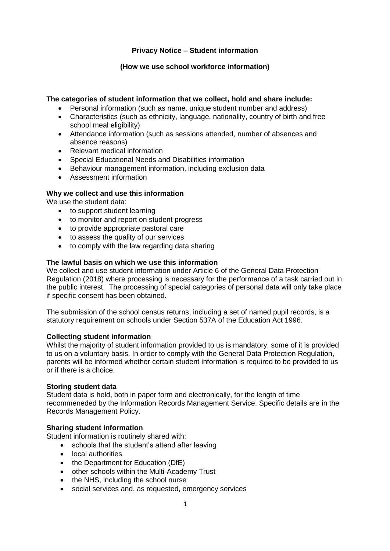## **Privacy Notice – Student information**

## **(How we use school workforce information)**

## **The categories of student information that we collect, hold and share include:**

- Personal information (such as name, unique student number and address)
- Characteristics (such as ethnicity, language, nationality, country of birth and free school meal eligibility)
- Attendance information (such as sessions attended, number of absences and absence reasons)
- Relevant medical information
- Special Educational Needs and Disabilities information
- Behaviour management information, including exclusion data
- Assessment information

#### **Why we collect and use this information**

We use the student data:

- to support student learning
- to monitor and report on student progress
- to provide appropriate pastoral care
- to assess the quality of our services
- to comply with the law regarding data sharing

#### **The lawful basis on which we use this information**

We collect and use student information under Article 6 of the General Data Protection Regulation (2018) where processing is necessary for the performance of a task carried out in the public interest. The processing of special categories of personal data will only take place if specific consent has been obtained.

The submission of the school census returns, including a set of named pupil records, is a statutory requirement on schools under Section 537A of the Education Act 1996.

#### **Collecting student information**

Whilst the majority of student information provided to us is mandatory, some of it is provided to us on a voluntary basis. In order to comply with the General Data Protection Regulation, parents will be informed whether certain student information is required to be provided to us or if there is a choice.

#### **Storing student data**

Student data is held, both in paper form and electronically, for the length of time recommeneded by the Information Records Management Service. Specific details are in the Records Management Policy.

#### **Sharing student information**

Student information is routinely shared with:

- schools that the student's attend after leaving
- local authorities
- the Department for Education (DfE)
- other schools within the Multi-Academy Trust
- the NHS, including the school nurse
- social services and, as requested, emergency services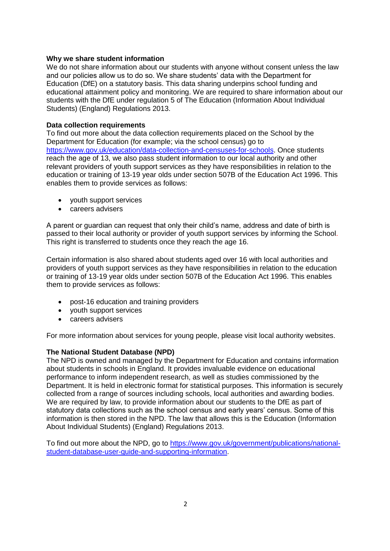#### **Why we share student information**

We do not share information about our students with anyone without consent unless the law and our policies allow us to do so. We share students' data with the Department for Education (DfE) on a statutory basis. This data sharing underpins school funding and educational attainment policy and monitoring. We are required to share information about our students with the DfE under regulation 5 of The Education (Information About Individual Students) (England) Regulations 2013.

#### **Data collection requirements**

To find out more about the data collection requirements placed on the School by the Department for Education (for example; via the school census) go to [https://www.gov.uk/education/data-collection-and-censuses-for-schools.](https://www.gov.uk/education/data-collection-and-censuses-for-schools) Once students reach the age of 13, we also pass student information to our local authority and other relevant providers of youth support services as they have responsibilities in relation to the education or training of 13-19 year olds under section 507B of the Education Act 1996. This enables them to provide services as follows:

- youth support services
- careers advisers

A parent or guardian can request that only their child's name, address and date of birth is passed to their local authority or provider of youth support services by informing the School. This right is transferred to students once they reach the age 16.

Certain information is also shared about students aged over 16 with local authorities and providers of youth support services as they have responsibilities in relation to the education or training of 13-19 year olds under section 507B of the Education Act 1996. This enables them to provide services as follows:

- post-16 education and training providers
- youth support services
- careers advisers

For more information about services for young people, please visit local authority websites.

#### **The National Student Database (NPD)**

The NPD is owned and managed by the Department for Education and contains information about students in schools in England. It provides invaluable evidence on educational performance to inform independent research, as well as studies commissioned by the Department. It is held in electronic format for statistical purposes. This information is securely collected from a range of sources including schools, local authorities and awarding bodies. We are required by law, to provide information about our students to the DfE as part of statutory data collections such as the school census and early years' census. Some of this information is then stored in the NPD. The law that allows this is the Education (Information About Individual Students) (England) Regulations 2013.

To find out more about the NPD, go to [https://www.gov.uk/government/publications/national](https://www.gov.uk/government/publications/national-pupil-database-user-guide-and-supporting-information)[student-database-user-guide-and-supporting-information.](https://www.gov.uk/government/publications/national-pupil-database-user-guide-and-supporting-information)